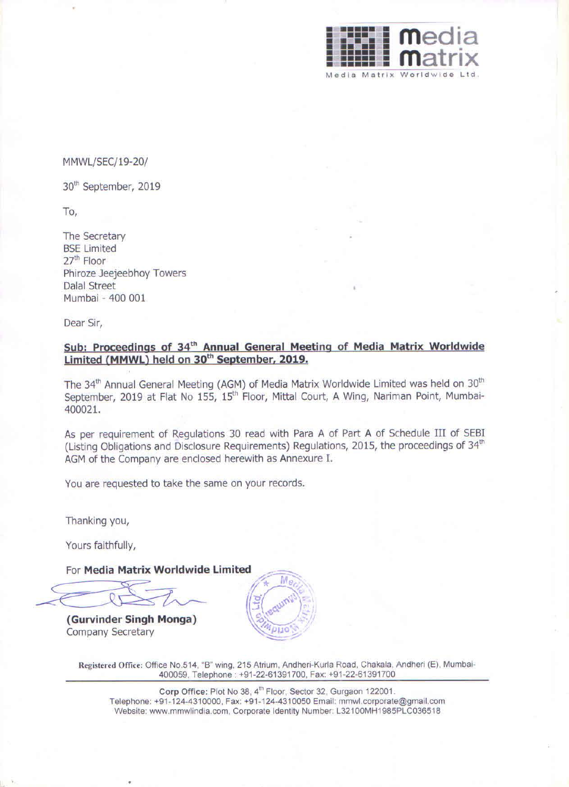•

For Media Matrix Worldwide Limited

•

## MMWL/SEC/19-20/

30th September, 2019

## To,

The Secretary BSE Limited 27th Floor Phiroze Jeejeebhoy Towers Dalal Street Mumbai - 400 001

Dear Sir,



•

# **Sub: Proceedings of 34th Annual General Meeting of Media Matrix Worldwide Limited (MMWL) held on 30th September, 2019.**

The 34<sup>th</sup> Annual General Meeting (AGM) of Media Matrix Worldwide Limited was held on 30<sup>th</sup> September, 2019 at Flat No 155, 15<sup>th</sup> Floor, Mittal Court, A Wing, Nariman Point, Mumbai-

400021.

As per requirement of Regulations 30 read with Para A of Part A of Schedule III of SEBI (Listing Obligations and Disclosure Requirements) Regulations, 2015, the proceedings of 34<sup>th</sup> AGM of the Company are enclosed herewith as Annexure I.

You are requested to take the same on your records.

Thanking you,

Yours faithfully,

**(Gurvinder Singh Monga)**  Company Secretary

Registered Office: Office No.514, "B" wing, 215 Atrium, Andheri-Kurla Road, Chakala, Andheri (E), Mumbai-400059, Telephone: +91 -22-61391700, Fax: +91-22-61391700

Corp Office: Plot No 38, 4<sup>th</sup> Floor, Sector 32, Gurgaon 122001. Telephone: +91 -124-4310000, Fax: +91-124-4310050 Email: mmwl.corporate@gmail.com Website: www.mmwlindia.com, Corporate Identity Number: L32100MH1985PLC036518

•



,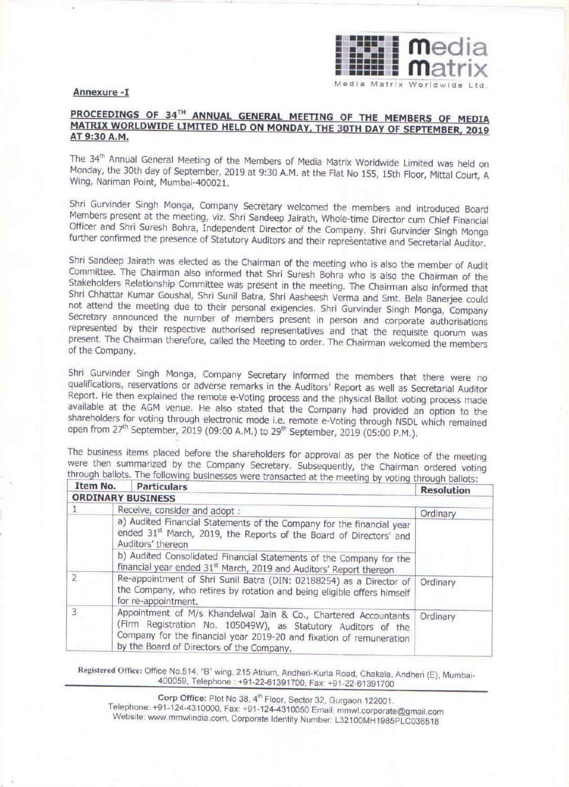•

•

•



#### **Annexure -I**

## PROCEEDINGS OF 34<sup>TH</sup> ANNUAL GENERAL MEETING OF THE MEMBERS OF MEDIA **MATRIX WORLDWIDE LIMITED HELD ON MONDAY, THE 30TH DAY OF SEPTEMBER, 2019 AT 9:30 A.M.**

The 34 th Annual General Meeting of the Members of Media Matrix Worldwide Limited was held on Monday, the 30th day of September, 2019 at 9:30 A.M. at the Flat No 155, 15th Floor, Mittal Court, A Wing, Nariman Point, Mumbai-400021.

Shri Gurvinder Singh Monga, Company Secretary welcomed the members and Introduced Board Members present at the meeting, viz. Shri Sandeep Jairath, Whole-time Director cum Chief Financial Officer and Shri Suresh Bohra, Independent Director of the Company. Shri Gurvinder Singh Monga further confirmed the presence of Statutory Auditors and their representative and Secretarial Auditor.

Shri Sandeep Jairath was elected as the Chairman of the meeting who is also the member of Audit Committee. The Chairman also informed that Shri Suresh Bohra who is also the Chairman of the Stakeholders Relationship Committee was present in the meeting. The Chairman also informed that Shri Chhattar Kumar Goushal, Shri Sunil Batra, Shri Aasheesh Verma and Smt. Bela Banerjee could not attend the meeting due to their personal exigencies. Shri Gurvinder Singh Monga, Company Secretary announced the number of members present in person and corporate authorisations represented by their respective authorised representatives and that the requisite quorum was present. The Chairman therefore, called the Meeting to order. The Chairman welcomed the members of the Company.

Shri Gurvinder Singh Monga, Company Secretary informed the members that there were no qualifications, reservations or adverse remarks in the Auditors' Report as well as Secretarial Auditor Report. He then explained the remote e-Voting process and the physical Ballot voting process made available at the AGM venue. He also stated that the Company had provided an option to the shareholders for voting through electronic mode I.e. remote e-Voting through NSDL which remained open from 27<sup>th</sup> September, 2019 (09:00 A.M.) to 29<sup>th</sup> September, 2019 (05:00 P.M.).

**Corp Office: Plot No 38, 4" Floor, Sector 32, Gurgaon 122001.** Telephone: +91-124-4310000, Fax: +91 -1 24-4310050 Email: mmwl.corporate@gmail.com Website: www.mmwlindia.com, Corporate Identity Number: L32100MH1985PLC036518

| Item No.       | <b>Particulars</b>                                                                                                                                                                                                                                   | <b>Resolution</b> |
|----------------|------------------------------------------------------------------------------------------------------------------------------------------------------------------------------------------------------------------------------------------------------|-------------------|
|                | <b>ORDINARY BUSINESS</b>                                                                                                                                                                                                                             |                   |
|                | Receive, consider and adopt :                                                                                                                                                                                                                        | Ordinary          |
|                | a) Audited Financial Statements of the Company for the financial year<br>ended 31 <sup>st</sup> March, 2019, the Reports of the Board of Directors' and<br>Auditors' thereon                                                                         |                   |
|                | b) Audited Consolidated Financial Statements of the Company for the<br>financial year ended 31 <sup>st</sup> March, 2019 and Auditors' Report thereon.                                                                                               |                   |
| $\overline{2}$ | Re-appointment of Shri Sunil Batra (DIN: 02188254) as a Director of<br>the Company, who retires by rotation and being eligible offers himself<br>for re-appointment.                                                                                 | Ordinary          |
| 3              | Appointment of M/s Khandelwal Jain & Co., Chartered Accountants<br>(Firm Registration No. 105049W), as Statutory Auditors of the<br>Company for the financial year 2019-20 and fixation of remuneration<br>by the Board of Directors of the Company. | Ordinary          |

The business items placed before the shareholders for approval as per the Notice of the meeting were then summarized by the Company Secretary. Subsequently, the Chairman ordered voting through ballots. The following businesses were transacted at the meeting by voting through ballots: • .

Registered Office: Office No.514, "B" wing, 215 Atrium, Andheri-Kurla Road, Chakala, Andheri (E), Mumbai-400059, Telephone: +91-22-61391700, Fax: +91-22-61391700